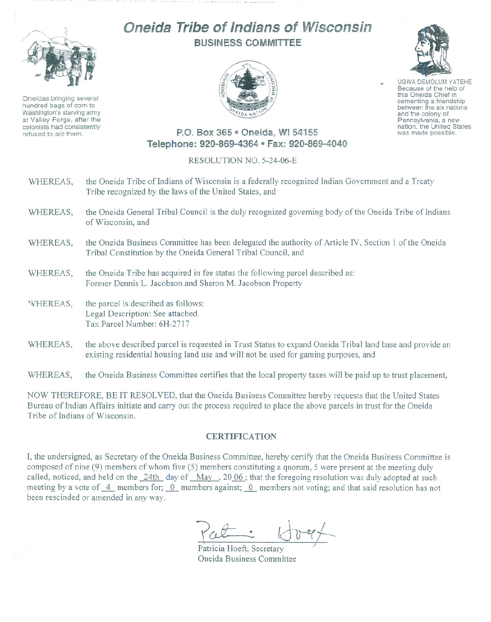

Oneidas bringing several hundred bags of corn to Washington's starving army at Valley Forge, after the colonists had consistently refused to aid them.

## Oneida **Tribe** of Indians of INisconsin BUSINESS COMMITTEE





UGWA DEMOLUM YATEHE Because of the help of this Oneida Chief in cementing <sup>a</sup> friendship between the six nations and the colony of<br>Pennsylvania, a new nation, the United States was made possible.

## P.O. Box 365 · Oneida, WI 54155 Telephone: 920-869-4364 • Fax: 920-869-4040

## RESOLUTION NO. 5-24-06-E

- WHEREAS, the Oneida Tribe of Indians of Wisconsin is a federally recognized Indian Government and a Treaty Tribe recognized by the laws of the United States, and
- WHEREAS, the Oneida General Tribal Council is the duly recognized governing body of the Oneida Tribe of Indians of Wisconsin, and
- WHEREAS, the Oneida Business Committee has been delegated the authority of Article IV, Section 1 of the Oneida Tribal Constitution by the Oneida General Tribal Council, and
- WHEREAS, the Oneida Tribe has acquired in fee status the following parcel described as: Former Dennis L. Jacobson and Sharon M. Jacobson Property
- WHEREAS, the parcel is described as follows: Legal Description: See attached. Tax Parcel Number: 6H-2717
- WHEREAS, the above described parcel is requested in Trust Status to expand Oneida Tribal land base and provide an existing residential housing land use and will not be used for gaming purposes, and

WHEREAS, the Oneida Business Committee certifies that the local property taxes will be paid up to trust placement,

NOW THEREFORE, BE IT RESOLVED, that the Oneida Business Committee hereby requests that the United States Bureau of Indian Affairs initiate and carry out the process required to place the above parcels in trust for the Oneida Tribe of Indians of Wisconsin.

## **CERTIFICATION**

I, the undersigned, as Secretary of the Oneida Business Committee, hereby certify that the Oneida Business Committee is composed of nine (9) members of whom five (5) members constituting a quorum, 5 were present at the meeting duly called, noticed, and held on the 24th day of May, 2006; that the foregoing resolution was duly adopted at such meeting by a vote of  $\overline{4}$  members for;  $\overline{0}$  members against;  $\overline{0}$  members not voting; and that said resolution has not been rescinded or amended in any way.

Patricia Hoeft, Secretary Oneida Business Committee